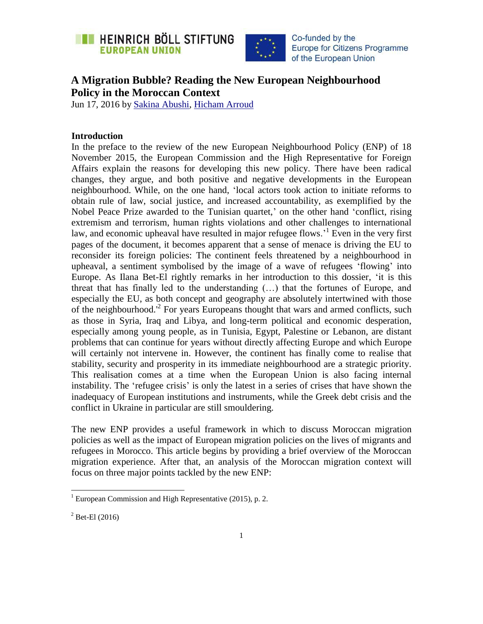



# **A Migration Bubble? Reading the New European Neighbourhood Policy in the Moroccan Context**

Jun 17, 2016 by [Sakina Abushi,](https://eu.boell.org/en/person/sakina-abushi) [Hicham Arroud](https://eu.boell.org/en/person/hicham-arroud)

### **Introduction**

In the preface to the review of the new European Neighbourhood Policy (ENP) of 18 November 2015, the European Commission and the High Representative for Foreign Affairs explain the reasons for developing this new policy. There have been radical changes, they argue, and both positive and negative developments in the European neighbourhood. While, on the one hand, "local actors took action to initiate reforms to obtain rule of law, social justice, and increased accountability, as exemplified by the Nobel Peace Prize awarded to the Tunisian quartet,' on the other hand 'conflict, rising extremism and terrorism, human rights violations and other challenges to international law, and economic upheaval have resulted in major refugee flows.<sup>1</sup> Even in the very first pages of the document, it becomes apparent that a sense of menace is driving the EU to reconsider its foreign policies: The continent feels threatened by a neighbourhood in upheaval, a sentiment symbolised by the image of a wave of refugees "flowing" into Europe. As Ilana Bet-El rightly remarks in her introduction to this dossier, "it is this threat that has finally led to the understanding (…) that the fortunes of Europe, and especially the EU, as both concept and geography are absolutely intertwined with those of the neighbourhood.<sup>12</sup> For years Europeans thought that wars and armed conflicts, such as those in Syria, Iraq and Libya, and long-term political and economic desperation, especially among young people, as in Tunisia, Egypt, Palestine or Lebanon, are distant problems that can continue for years without directly affecting Europe and which Europe will certainly not intervene in. However, the continent has finally come to realise that stability, security and prosperity in its immediate neighbourhood are a strategic priority. This realisation comes at a time when the European Union is also facing internal instability. The 'refugee crisis' is only the latest in a series of crises that have shown the inadequacy of European institutions and instruments, while the Greek debt crisis and the conflict in Ukraine in particular are still smouldering.

The new ENP provides a useful framework in which to discuss Moroccan migration policies as well as the impact of European migration policies on the lives of migrants and refugees in Morocco. This article begins by providing a brief overview of the Moroccan migration experience. After that, an analysis of the Moroccan migration context will focus on three major points tackled by the new ENP:

 $\overline{a}$ 

 $1$  European Commission and High Representative (2015), p. 2.

 $^{2}$  Bet-El (2016)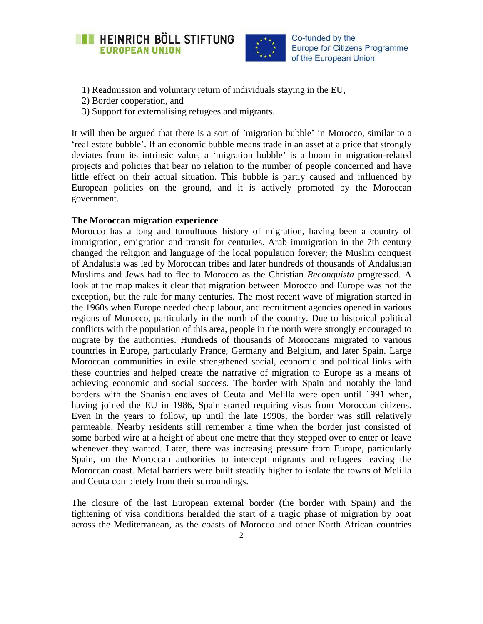



- 1) Readmission and voluntary return of individuals staying in the EU,
- 2) Border cooperation, and
- 3) Support for externalising refugees and migrants.

It will then be argued that there is a sort of "migration bubble" in Morocco, similar to a "real estate bubble". If an economic bubble means trade in an asset at a price that strongly deviates from its intrinsic value, a "migration bubble" is a boom in migration-related projects and policies that bear no relation to the number of people concerned and have little effect on their actual situation. This bubble is partly caused and influenced by European policies on the ground, and it is actively promoted by the Moroccan government.

### **The Moroccan migration experience**

Morocco has a long and tumultuous history of migration, having been a country of immigration, emigration and transit for centuries. Arab immigration in the 7th century changed the religion and language of the local population forever; the Muslim conquest of Andalusia was led by Moroccan tribes and later hundreds of thousands of Andalusian Muslims and Jews had to flee to Morocco as the Christian *Reconquista* progressed. A look at the map makes it clear that migration between Morocco and Europe was not the exception, but the rule for many centuries. The most recent wave of migration started in the 1960s when Europe needed cheap labour, and recruitment agencies opened in various regions of Morocco, particularly in the north of the country. Due to historical political conflicts with the population of this area, people in the north were strongly encouraged to migrate by the authorities. Hundreds of thousands of Moroccans migrated to various countries in Europe, particularly France, Germany and Belgium, and later Spain. Large Moroccan communities in exile strengthened social, economic and political links with these countries and helped create the narrative of migration to Europe as a means of achieving economic and social success. The border with Spain and notably the land borders with the Spanish enclaves of Ceuta and Melilla were open until 1991 when, having joined the EU in 1986, Spain started requiring visas from Moroccan citizens. Even in the years to follow, up until the late 1990s, the border was still relatively permeable. Nearby residents still remember a time when the border just consisted of some barbed wire at a height of about one metre that they stepped over to enter or leave whenever they wanted. Later, there was increasing pressure from Europe, particularly Spain, on the Moroccan authorities to intercept migrants and refugees leaving the Moroccan coast. Metal barriers were built steadily higher to isolate the towns of Melilla and Ceuta completely from their surroundings.

The closure of the last European external border (the border with Spain) and the tightening of visa conditions heralded the start of a tragic phase of migration by boat across the Mediterranean, as the coasts of Morocco and other North African countries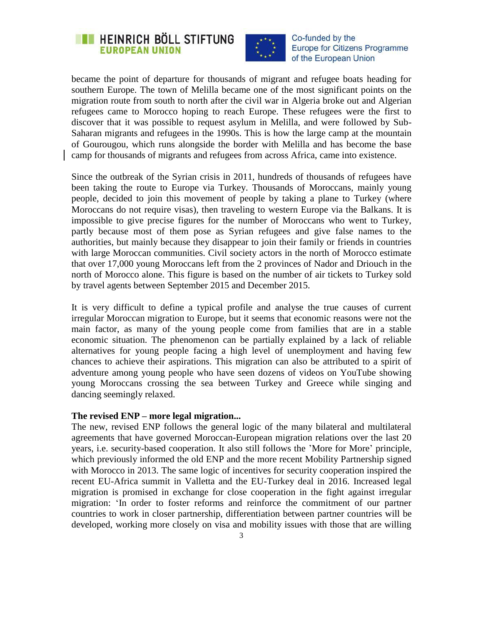



became the point of departure for thousands of migrant and refugee boats heading for southern Europe. The town of Melilla became one of the most significant points on the migration route from south to north after the civil war in Algeria broke out and Algerian refugees came to Morocco hoping to reach Europe. These refugees were the first to discover that it was possible to request asylum in Melilla, and were followed by Sub-Saharan migrants and refugees in the 1990s. This is how the large camp at the mountain of Gourougou, which runs alongside the border with Melilla and has become the base camp for thousands of migrants and refugees from across Africa, came into existence.

Since the outbreak of the Syrian crisis in 2011, hundreds of thousands of refugees have been taking the route to Europe via Turkey. Thousands of Moroccans, mainly young people, decided to join this movement of people by taking a plane to Turkey (where Moroccans do not require visas), then traveling to western Europe via the Balkans. It is impossible to give precise figures for the number of Moroccans who went to Turkey, partly because most of them pose as Syrian refugees and give false names to the authorities, but mainly because they disappear to join their family or friends in countries with large Moroccan communities. Civil society actors in the north of Morocco estimate that over 17,000 young Moroccans left from the 2 provinces of Nador and Driouch in the north of Morocco alone. This figure is based on the number of air tickets to Turkey sold by travel agents between September 2015 and December 2015.

It is very difficult to define a typical profile and analyse the true causes of current irregular Moroccan migration to Europe, but it seems that economic reasons were not the main factor, as many of the young people come from families that are in a stable economic situation. The phenomenon can be partially explained by a lack of reliable alternatives for young people facing a high level of unemployment and having few chances to achieve their aspirations. This migration can also be attributed to a spirit of adventure among young people who have seen dozens of videos on YouTube showing young Moroccans crossing the sea between Turkey and Greece while singing and dancing seemingly relaxed.

#### **The revised ENP – more legal migration...**

The new, revised ENP follows the general logic of the many bilateral and multilateral agreements that have governed Moroccan-European migration relations over the last 20 years, i.e. security-based cooperation. It also still follows the "More for More" principle, which previously informed the old ENP and the more recent Mobility Partnership signed with Morocco in 2013. The same logic of incentives for security cooperation inspired the recent EU-Africa summit in Valletta and the EU-Turkey deal in 2016. Increased legal migration is promised in exchange for close cooperation in the fight against irregular migration: "In order to foster reforms and reinforce the commitment of our partner countries to work in closer partnership, differentiation between partner countries will be developed, working more closely on visa and mobility issues with those that are willing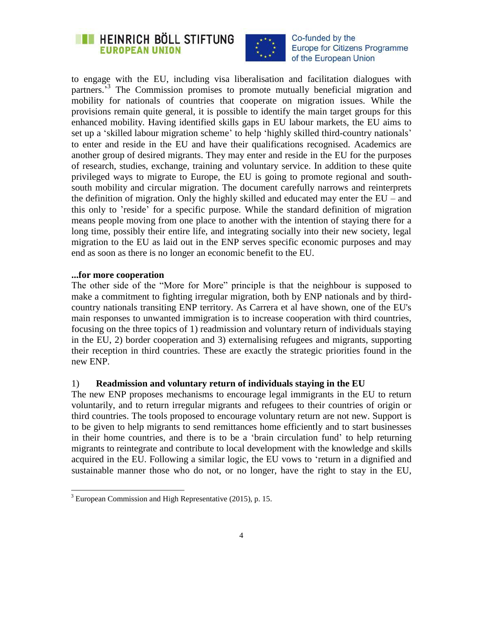



to engage with the EU, including visa liberalisation and facilitation dialogues with partners.<sup>3</sup> The Commission promises to promote mutually beneficial migration and mobility for nationals of countries that cooperate on migration issues. While the provisions remain quite general, it is possible to identify the main target groups for this enhanced mobility. Having identified skills gaps in EU labour markets, the EU aims to set up a 'skilled labour migration scheme' to help 'highly skilled third-country nationals' to enter and reside in the EU and have their qualifications recognised. Academics are another group of desired migrants. They may enter and reside in the EU for the purposes of research, studies, exchange, training and voluntary service. In addition to these quite privileged ways to migrate to Europe, the EU is going to promote regional and southsouth mobility and circular migration. The document carefully narrows and reinterprets the definition of migration. Only the highly skilled and educated may enter the EU – and this only to "reside" for a specific purpose. While the standard definition of migration means people moving from one place to another with the intention of staying there for a long time, possibly their entire life, and integrating socially into their new society, legal migration to the EU as laid out in the ENP serves specific economic purposes and may end as soon as there is no longer an economic benefit to the EU.

### **...for more cooperation**

 $\overline{a}$ 

The other side of the "More for More" principle is that the neighbour is supposed to make a commitment to fighting irregular migration, both by ENP nationals and by thirdcountry nationals transiting ENP territory. As Carrera et al have shown, one of the EU's main responses to unwanted immigration is to increase cooperation with third countries, focusing on the three topics of 1) readmission and voluntary return of individuals staying in the EU, 2) border cooperation and 3) externalising refugees and migrants, supporting their reception in third countries. These are exactly the strategic priorities found in the new ENP.

### 1) **Readmission and voluntary return of individuals staying in the EU**

The new ENP proposes mechanisms to encourage legal immigrants in the EU to return voluntarily, and to return irregular migrants and refugees to their countries of origin or third countries. The tools proposed to encourage voluntary return are not new. Support is to be given to help migrants to send remittances home efficiently and to start businesses in their home countries, and there is to be a "brain circulation fund" to help returning migrants to reintegrate and contribute to local development with the knowledge and skills acquired in the EU. Following a similar logic, the EU vows to "return in a dignified and sustainable manner those who do not, or no longer, have the right to stay in the EU,

 $3$  European Commission and High Representative (2015), p. 15.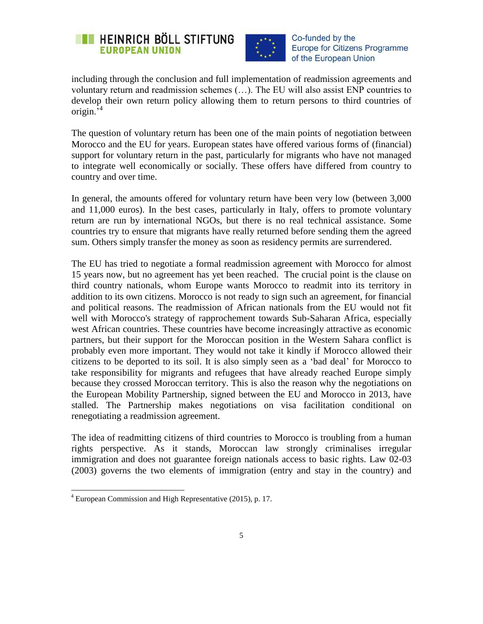



including through the conclusion and full implementation of readmission agreements and voluntary return and readmission schemes (…). The EU will also assist ENP countries to develop their own return policy allowing them to return persons to third countries of origin.<sup>4</sup>

The question of voluntary return has been one of the main points of negotiation between Morocco and the EU for years. European states have offered various forms of (financial) support for voluntary return in the past, particularly for migrants who have not managed to integrate well economically or socially. These offers have differed from country to country and over time.

In general, the amounts offered for voluntary return have been very low (between 3,000 and 11,000 euros). In the best cases, particularly in Italy, offers to promote voluntary return are run by international NGOs, but there is no real technical assistance. Some countries try to ensure that migrants have really returned before sending them the agreed sum. Others simply transfer the money as soon as residency permits are surrendered.

The EU has tried to negotiate a formal readmission agreement with Morocco for almost 15 years now, but no agreement has yet been reached. The crucial point is the clause on third country nationals, whom Europe wants Morocco to readmit into its territory in addition to its own citizens. Morocco is not ready to sign such an agreement, for financial and political reasons. The readmission of African nationals from the EU would not fit well with Morocco's strategy of rapprochement towards Sub-Saharan Africa, especially west African countries. These countries have become increasingly attractive as economic partners, but their support for the Moroccan position in the Western Sahara conflict is probably even more important. They would not take it kindly if Morocco allowed their citizens to be deported to its soil. It is also simply seen as a "bad deal" for Morocco to take responsibility for migrants and refugees that have already reached Europe simply because they crossed Moroccan territory. This is also the reason why the negotiations on the European Mobility Partnership, signed between the EU and Morocco in 2013, have stalled. The Partnership makes negotiations on visa facilitation conditional on renegotiating a readmission agreement.

The idea of readmitting citizens of third countries to Morocco is troubling from a human rights perspective. As it stands, Moroccan law strongly criminalises irregular immigration and does not guarantee foreign nationals access to basic rights. Law 02-03 (2003) governs the two elements of immigration (entry and stay in the country) and

 $\overline{a}$ 

 $4$  European Commission and High Representative (2015), p. 17.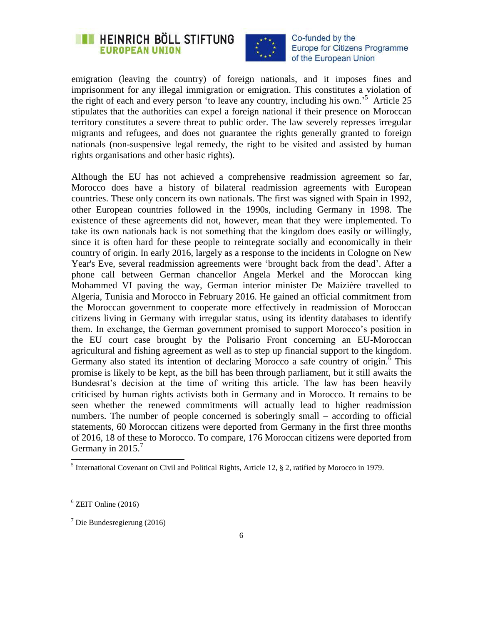



emigration (leaving the country) of foreign nationals, and it imposes fines and imprisonment for any illegal immigration or emigration. This constitutes a violation of the right of each and every person 'to leave any country, including his own.'<sup>5</sup> Article 25 stipulates that the authorities can expel a foreign national if their presence on Moroccan territory constitutes a severe threat to public order. The law severely represses irregular migrants and refugees, and does not guarantee the rights generally granted to foreign nationals (non-suspensive legal remedy, the right to be visited and assisted by human rights organisations and other basic rights).

Although the EU has not achieved a comprehensive readmission agreement so far, Morocco does have a history of bilateral readmission agreements with European countries. These only concern its own nationals. The first was signed with Spain in 1992, other European countries followed in the 1990s, including Germany in 1998. The existence of these agreements did not, however, mean that they were implemented. To take its own nationals back is not something that the kingdom does easily or willingly, since it is often hard for these people to reintegrate socially and economically in their country of origin. In early 2016, largely as a response to the incidents in Cologne on New Year's Eve, several readmission agreements were "brought back from the dead". After a phone call between German chancellor Angela Merkel and the Moroccan king Mohammed VI paving the way, German interior minister De Maizière travelled to Algeria, Tunisia and Morocco in February 2016. He gained an official commitment from the Moroccan government to cooperate more effectively in readmission of Moroccan citizens living in Germany with irregular status, using its identity databases to identify them. In exchange, the German government promised to support Morocco"s position in the EU court case brought by the Polisario Front concerning an EU-Moroccan agricultural and fishing agreement as well as to step up financial support to the kingdom. Germany also stated its intention of declaring Morocco a safe country of origin.<sup> $6$ </sup> This promise is likely to be kept, as the bill has been through parliament, but it still awaits the Bundesrat's decision at the time of writing this article. The law has been heavily criticised by human rights activists both in Germany and in Morocco. It remains to be seen whether the renewed commitments will actually lead to higher readmission numbers. The number of people concerned is soberingly small – according to official statements, 60 Moroccan citizens were deported from Germany in the first three months of 2016, 18 of these to Morocco. To compare, 176 Moroccan citizens were deported from Germany in  $2015.7$ 

<sup>&</sup>lt;sup>5</sup> International Covenant on Civil and Political Rights, Article 12, § 2, ratified by Morocco in 1979.

 $6$  ZEIT Online (2016)

 $7$  Die Bundesregierung (2016)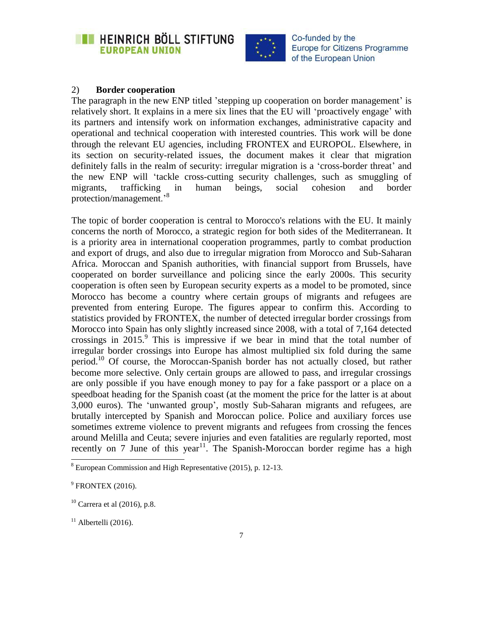



### 2) **Border cooperation**

The paragraph in the new ENP titled 'stepping up cooperation on border management' is relatively short. It explains in a mere six lines that the EU will "proactively engage" with its partners and intensify work on information exchanges, administrative capacity and operational and technical cooperation with interested countries. This work will be done through the relevant EU agencies, including FRONTEX and EUROPOL. Elsewhere, in its section on security-related issues, the document makes it clear that migration definitely falls in the realm of security: irregular migration is a "cross-border threat" and the new ENP will "tackle cross-cutting security challenges, such as smuggling of migrants, trafficking in human beings, social cohesion and border protection/management.'<sup>8</sup>

The topic of border cooperation is central to Morocco's relations with the EU. It mainly concerns the north of Morocco, a strategic region for both sides of the Mediterranean. It is a priority area in international cooperation programmes, partly to combat production and export of drugs, and also due to irregular migration from Morocco and Sub-Saharan Africa. Moroccan and Spanish authorities, with financial support from Brussels, have cooperated on border surveillance and policing since the early 2000s. This security cooperation is often seen by European security experts as a model to be promoted, since Morocco has become a country where certain groups of migrants and refugees are prevented from entering Europe. The figures appear to confirm this. According to statistics provided by FRONTEX, the number of detected irregular border crossings from Morocco into Spain has only slightly increased since 2008, with a total of 7,164 detected crossings in  $2015$ .<sup>9</sup> This is impressive if we bear in mind that the total number of irregular border crossings into Europe has almost multiplied six fold during the same period.<sup>10</sup> Of course, the Moroccan-Spanish border has not actually closed, but rather become more selective. Only certain groups are allowed to pass, and irregular crossings are only possible if you have enough money to pay for a fake passport or a place on a speedboat heading for the Spanish coast (at the moment the price for the latter is at about 3,000 euros). The "unwanted group", mostly Sub-Saharan migrants and refugees, are brutally intercepted by Spanish and Moroccan police. Police and auxiliary forces use sometimes extreme violence to prevent migrants and refugees from crossing the fences around Melilla and Ceuta; severe injuries and even fatalities are regularly reported, most recently on 7 June of this year<sup>11</sup>. The Spanish-Moroccan border regime has a high

 $8$  European Commission and High Representative (2015), p. 12-13.

 $9$  FRONTEX (2016).

 $10$  Carrera et al (2016), p.8.

 $11$  Albertelli (2016).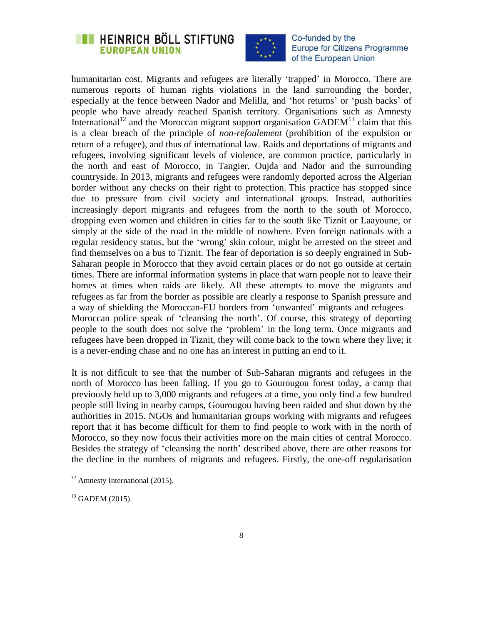## **EXECUTE HEINRICH BÖLL STIFTUNG EUROPEAN UNION**



Co-funded by the **Europe for Citizens Programme** of the European Union

humanitarian cost. Migrants and refugees are literally 'trapped' in Morocco. There are numerous reports of human rights violations in the land surrounding the border, especially at the fence between Nador and Melilla, and "hot returns" or "push backs" of people who have already reached Spanish territory. Organisations such as Amnesty International<sup>12</sup> and the Moroccan migrant support organisation GADEM<sup>13</sup> claim that this is a clear breach of the principle of *non-refoulement* (prohibition of the expulsion or return of a refugee), and thus of international law. Raids and deportations of migrants and refugees, involving significant levels of violence, are common practice, particularly in the north and east of Morocco, in Tangier, Oujda and Nador and the surrounding countryside. In 2013, migrants and refugees were randomly deported across the Algerian border without any checks on their right to protection. This practice has stopped since due to pressure from civil society and international groups. Instead, authorities increasingly deport migrants and refugees from the north to the south of Morocco, dropping even women and children in cities far to the south like Tiznit or Laayoune, or simply at the side of the road in the middle of nowhere. Even foreign nationals with a regular residency status, but the "wrong" skin colour, might be arrested on the street and find themselves on a bus to Tiznit. The fear of deportation is so deeply engrained in Sub-Saharan people in Morocco that they avoid certain places or do not go outside at certain times. There are informal information systems in place that warn people not to leave their homes at times when raids are likely. All these attempts to move the migrants and refugees as far from the border as possible are clearly a response to Spanish pressure and a way of shielding the Moroccan-EU borders from "unwanted" migrants and refugees – Moroccan police speak of "cleansing the north". Of course, this strategy of deporting people to the south does not solve the "problem" in the long term. Once migrants and refugees have been dropped in Tiznit, they will come back to the town where they live; it is a never-ending chase and no one has an interest in putting an end to it.

It is not difficult to see that the number of Sub-Saharan migrants and refugees in the north of Morocco has been falling. If you go to Gourougou forest today, a camp that previously held up to 3,000 migrants and refugees at a time, you only find a few hundred people still living in nearby camps, Gourougou having been raided and shut down by the authorities in 2015. NGOs and humanitarian groups working with migrants and refugees report that it has become difficult for them to find people to work with in the north of Morocco, so they now focus their activities more on the main cities of central Morocco. Besides the strategy of 'cleansing the north' described above, there are other reasons for the decline in the numbers of migrants and refugees. Firstly, the one-off regularisation

 $\overline{\phantom{a}}$  $12$  Amnesty International (2015).

 $13$  GADEM (2015).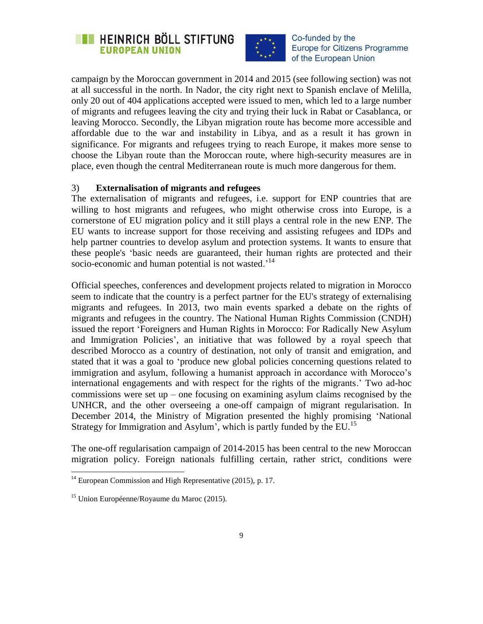



campaign by the Moroccan government in 2014 and 2015 (see following section) was not at all successful in the north. In Nador, the city right next to Spanish enclave of Melilla, only 20 out of 404 applications accepted were issued to men, which led to a large number of migrants and refugees leaving the city and trying their luck in Rabat or Casablanca, or leaving Morocco. Secondly, the Libyan migration route has become more accessible and affordable due to the war and instability in Libya, and as a result it has grown in significance. For migrants and refugees trying to reach Europe, it makes more sense to choose the Libyan route than the Moroccan route, where high-security measures are in place, even though the central Mediterranean route is much more dangerous for them.

### 3) **Externalisation of migrants and refugees**

The externalisation of migrants and refugees, i.e. support for ENP countries that are willing to host migrants and refugees, who might otherwise cross into Europe, is a cornerstone of EU migration policy and it still plays a central role in the new ENP. The EU wants to increase support for those receiving and assisting refugees and IDPs and help partner countries to develop asylum and protection systems. It wants to ensure that these people's "basic needs are guaranteed, their human rights are protected and their socio-economic and human potential is not wasted.<sup>14</sup>

Official speeches, conferences and development projects related to migration in Morocco seem to indicate that the country is a perfect partner for the EU's strategy of externalising migrants and refugees. In 2013, two main events sparked a debate on the rights of migrants and refugees in the country. The National Human Rights Commission (CNDH) issued the report "Foreigners and Human Rights in Morocco: For Radically New Asylum and Immigration Policies', an initiative that was followed by a royal speech that described Morocco as a country of destination, not only of transit and emigration, and stated that it was a goal to "produce new global policies concerning questions related to immigration and asylum, following a humanist approach in accordance with Morocco's international engagements and with respect for the rights of the migrants." Two ad-hoc commissions were set up – one focusing on examining asylum claims recognised by the UNHCR, and the other overseeing a one-off campaign of migrant regularisation. In December 2014, the Ministry of Migration presented the highly promising "National Strategy for Immigration and Asylum', which is partly funded by the EU.<sup>15</sup>

The one-off regularisation campaign of 2014-2015 has been central to the new Moroccan migration policy. Foreign nationals fulfilling certain, rather strict, conditions were

 $14$  European Commission and High Representative (2015), p. 17.

<sup>15</sup> Union Européenne/Royaume du Maroc (2015).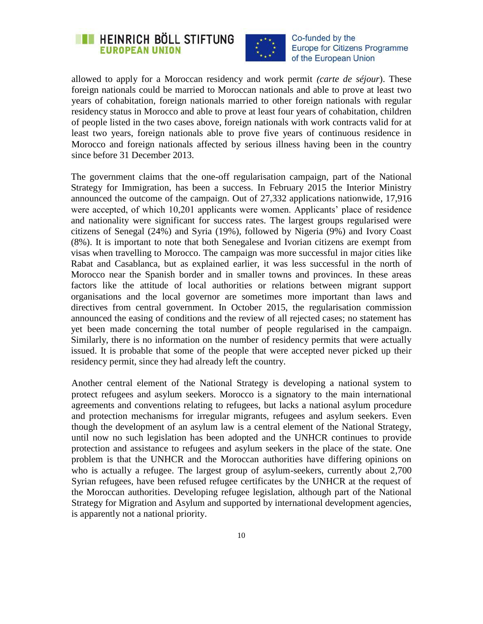



allowed to apply for a Moroccan residency and work permit *(carte de séjour*). These foreign nationals could be married to Moroccan nationals and able to prove at least two years of cohabitation, foreign nationals married to other foreign nationals with regular residency status in Morocco and able to prove at least four years of cohabitation, children of people listed in the two cases above, foreign nationals with work contracts valid for at least two years, foreign nationals able to prove five years of continuous residence in Morocco and foreign nationals affected by serious illness having been in the country since before 31 December 2013.

The government claims that the one-off regularisation campaign, part of the National Strategy for Immigration, has been a success. In February 2015 the Interior Ministry announced the outcome of the campaign. Out of 27,332 applications nationwide, 17,916 were accepted, of which 10,201 applicants were women. Applicants" place of residence and nationality were significant for success rates. The largest groups regularised were citizens of Senegal (24%) and Syria (19%), followed by Nigeria (9%) and Ivory Coast (8%). It is important to note that both Senegalese and Ivorian citizens are exempt from visas when travelling to Morocco. The campaign was more successful in major cities like Rabat and Casablanca, but as explained earlier, it was less successful in the north of Morocco near the Spanish border and in smaller towns and provinces. In these areas factors like the attitude of local authorities or relations between migrant support organisations and the local governor are sometimes more important than laws and directives from central government. In October 2015, the regularisation commission announced the easing of conditions and the review of all rejected cases; no statement has yet been made concerning the total number of people regularised in the campaign. Similarly, there is no information on the number of residency permits that were actually issued. It is probable that some of the people that were accepted never picked up their residency permit, since they had already left the country.

Another central element of the National Strategy is developing a national system to protect refugees and asylum seekers. Morocco is a signatory to the main international agreements and conventions relating to refugees, but lacks a national asylum procedure and protection mechanisms for irregular migrants, refugees and asylum seekers. Even though the development of an asylum law is a central element of the National Strategy, until now no such legislation has been adopted and the UNHCR continues to provide protection and assistance to refugees and asylum seekers in the place of the state. One problem is that the UNHCR and the Moroccan authorities have differing opinions on who is actually a refugee. The largest group of asylum-seekers, currently about 2,700 Syrian refugees, have been refused refugee certificates by the UNHCR at the request of the Moroccan authorities. Developing refugee legislation, although part of the National Strategy for Migration and Asylum and supported by international development agencies, is apparently not a national priority.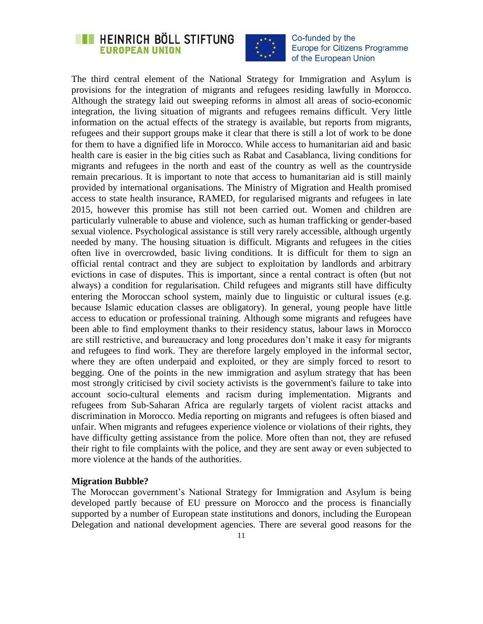## **EXECUTE HEINRICH BÖLL STIFTUNG EUROPEAN UNION**



Co-funded by the **Europe for Citizens Programme** of the European Union

The third central element of the National Strategy for Immigration and Asylum is provisions for the integration of migrants and refugees residing lawfully in Morocco. Although the strategy laid out sweeping reforms in almost all areas of socio-economic integration, the living situation of migrants and refugees remains difficult. Very little information on the actual effects of the strategy is available, but reports from migrants, refugees and their support groups make it clear that there is still a lot of work to be done for them to have a dignified life in Morocco. While access to humanitarian aid and basic health care is easier in the big cities such as Rabat and Casablanca, living conditions for migrants and refugees in the north and east of the country as well as the countryside remain precarious. It is important to note that access to humanitarian aid is still mainly provided by international organisations. The Ministry of Migration and Health promised access to state health insurance, RAMED, for regularised migrants and refugees in late 2015, however this promise has still not been carried out. Women and children are particularly vulnerable to abuse and violence, such as human trafficking or gender-based sexual violence. Psychological assistance is still very rarely accessible, although urgently needed by many. The housing situation is difficult. Migrants and refugees in the cities often live in overcrowded, basic living conditions. It is difficult for them to sign an official rental contract and they are subject to exploitation by landlords and arbitrary evictions in case of disputes. This is important, since a rental contract is often (but not always) a condition for regularisation. Child refugees and migrants still have difficulty entering the Moroccan school system, mainly due to linguistic or cultural issues (e.g. because Islamic education classes are obligatory). In general, young people have little access to education or professional training. Although some migrants and refugees have been able to find employment thanks to their residency status, labour laws in Morocco are still restrictive, and bureaucracy and long procedures don"t make it easy for migrants and refugees to find work. They are therefore largely employed in the informal sector, where they are often underpaid and exploited, or they are simply forced to resort to begging. One of the points in the new immigration and asylum strategy that has been most strongly criticised by civil society activists is the government's failure to take into account socio-cultural elements and racism during implementation. Migrants and refugees from Sub-Saharan Africa are regularly targets of violent racist attacks and discrimination in Morocco. Media reporting on migrants and refugees is often biased and unfair. When migrants and refugees experience violence or violations of their rights, they have difficulty getting assistance from the police. More often than not, they are refused their right to file complaints with the police, and they are sent away or even subjected to more violence at the hands of the authorities.

### **Migration Bubble?**

The Moroccan government"s National Strategy for Immigration and Asylum is being developed partly because of EU pressure on Morocco and the process is financially supported by a number of European state institutions and donors, including the European Delegation and national development agencies. There are several good reasons for the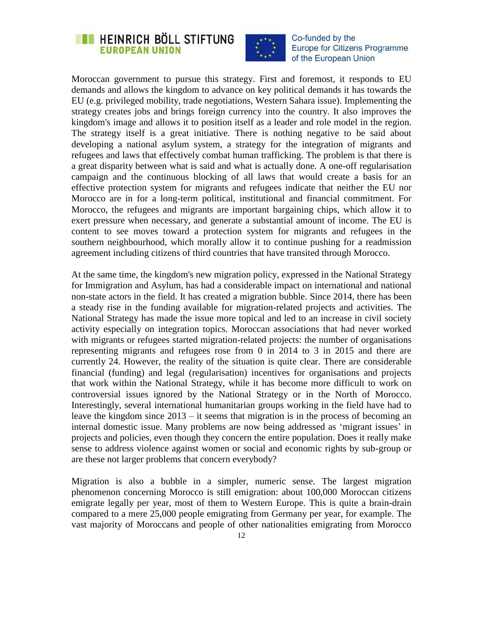



Moroccan government to pursue this strategy. First and foremost, it responds to EU demands and allows the kingdom to advance on key political demands it has towards the EU (e.g. privileged mobility, trade negotiations, Western Sahara issue). Implementing the strategy creates jobs and brings foreign currency into the country. It also improves the kingdom's image and allows it to position itself as a leader and role model in the region. The strategy itself is a great initiative. There is nothing negative to be said about developing a national asylum system, a strategy for the integration of migrants and refugees and laws that effectively combat human trafficking. The problem is that there is a great disparity between what is said and what is actually done. A one-off regularisation campaign and the continuous blocking of all laws that would create a basis for an effective protection system for migrants and refugees indicate that neither the EU nor Morocco are in for a long-term political, institutional and financial commitment. For Morocco, the refugees and migrants are important bargaining chips, which allow it to exert pressure when necessary, and generate a substantial amount of income. The EU is content to see moves toward a protection system for migrants and refugees in the southern neighbourhood, which morally allow it to continue pushing for a readmission agreement including citizens of third countries that have transited through Morocco.

At the same time, the kingdom's new migration policy, expressed in the National Strategy for Immigration and Asylum, has had a considerable impact on international and national non-state actors in the field. It has created a migration bubble. Since 2014, there has been a steady rise in the funding available for migration-related projects and activities. The National Strategy has made the issue more topical and led to an increase in civil society activity especially on integration topics. Moroccan associations that had never worked with migrants or refugees started migration-related projects: the number of organisations representing migrants and refugees rose from 0 in 2014 to 3 in 2015 and there are currently 24. However, the reality of the situation is quite clear. There are considerable financial (funding) and legal (regularisation) incentives for organisations and projects that work within the National Strategy, while it has become more difficult to work on controversial issues ignored by the National Strategy or in the North of Morocco. Interestingly, several international humanitarian groups working in the field have had to leave the kingdom since 2013 – it seems that migration is in the process of becoming an internal domestic issue. Many problems are now being addressed as "migrant issues" in projects and policies, even though they concern the entire population. Does it really make sense to address violence against women or social and economic rights by sub-group or are these not larger problems that concern everybody?

Migration is also a bubble in a simpler, numeric sense. The largest migration phenomenon concerning Morocco is still emigration: about 100,000 Moroccan citizens emigrate legally per year, most of them to Western Europe. This is quite a brain-drain compared to a mere 25,000 people emigrating from Germany per year, for example. The vast majority of Moroccans and people of other nationalities emigrating from Morocco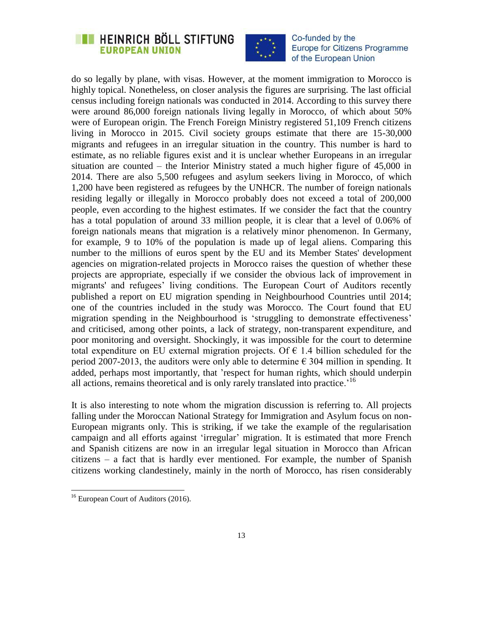## **EXAMPLE IN HEINRICH BÖLL STIFTUNG EUROPEAN UNION**



Co-funded by the **Europe for Citizens Programme** of the European Union

do so legally by plane, with visas. However, at the moment immigration to Morocco is highly topical. Nonetheless, on closer analysis the figures are surprising. The last official census including foreign nationals was conducted in 2014. According to this survey there were around 86,000 foreign nationals living legally in Morocco, of which about 50% were of European origin. The French Foreign Ministry registered 51,109 French citizens living in Morocco in 2015. Civil society groups estimate that there are 15-30,000 migrants and refugees in an irregular situation in the country. This number is hard to estimate, as no reliable figures exist and it is unclear whether Europeans in an irregular situation are counted – the Interior Ministry stated a much higher figure of 45,000 in 2014. There are also 5,500 refugees and asylum seekers living in Morocco, of which 1,200 have been registered as refugees by the UNHCR. The number of foreign nationals residing legally or illegally in Morocco probably does not exceed a total of 200,000 people, even according to the highest estimates. If we consider the fact that the country has a total population of around 33 million people, it is clear that a level of 0.06% of foreign nationals means that migration is a relatively minor phenomenon. In Germany, for example, 9 to 10% of the population is made up of legal aliens. Comparing this number to the millions of euros spent by the EU and its Member States' development agencies on migration-related projects in Morocco raises the question of whether these projects are appropriate, especially if we consider the obvious lack of improvement in migrants' and refugees' living conditions. The European Court of Auditors recently published a report on EU migration spending in Neighbourhood Countries until 2014; one of the countries included in the study was Morocco. The Court found that EU migration spending in the Neighbourhood is 'struggling to demonstrate effectiveness' and criticised, among other points, a lack of strategy, non-transparent expenditure, and poor monitoring and oversight. Shockingly, it was impossible for the court to determine total expenditure on EU external migration projects. Of  $\epsilon$  1.4 billion scheduled for the period 2007-2013, the auditors were only able to determine  $\epsilon$  304 million in spending. It added, perhaps most importantly, that "respect for human rights, which should underpin all actions, remains theoretical and is only rarely translated into practice.<sup>16</sup>

It is also interesting to note whom the migration discussion is referring to. All projects falling under the Moroccan National Strategy for Immigration and Asylum focus on non-European migrants only. This is striking, if we take the example of the regularisation campaign and all efforts against "irregular" migration. It is estimated that more French and Spanish citizens are now in an irregular legal situation in Morocco than African citizens – a fact that is hardly ever mentioned. For example, the number of Spanish citizens working clandestinely, mainly in the north of Morocco, has risen considerably

<sup>&</sup>lt;sup>16</sup> European Court of Auditors (2016).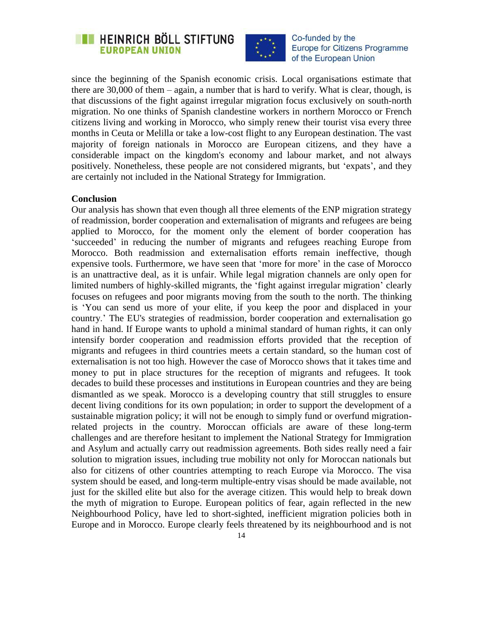



since the beginning of the Spanish economic crisis. Local organisations estimate that there are 30,000 of them – again, a number that is hard to verify. What is clear, though, is that discussions of the fight against irregular migration focus exclusively on south-north migration. No one thinks of Spanish clandestine workers in northern Morocco or French citizens living and working in Morocco, who simply renew their tourist visa every three months in Ceuta or Melilla or take a low-cost flight to any European destination. The vast majority of foreign nationals in Morocco are European citizens, and they have a considerable impact on the kingdom's economy and labour market, and not always positively. Nonetheless, these people are not considered migrants, but "expats", and they are certainly not included in the National Strategy for Immigration.

#### **Conclusion**

Our analysis has shown that even though all three elements of the ENP migration strategy of readmission, border cooperation and externalisation of migrants and refugees are being applied to Morocco, for the moment only the element of border cooperation has "succeeded" in reducing the number of migrants and refugees reaching Europe from Morocco. Both readmission and externalisation efforts remain ineffective, though expensive tools. Furthermore, we have seen that "more for more" in the case of Morocco is an unattractive deal, as it is unfair. While legal migration channels are only open for limited numbers of highly-skilled migrants, the "fight against irregular migration" clearly focuses on refugees and poor migrants moving from the south to the north. The thinking is "You can send us more of your elite, if you keep the poor and displaced in your country." The EU's strategies of readmission, border cooperation and externalisation go hand in hand. If Europe wants to uphold a minimal standard of human rights, it can only intensify border cooperation and readmission efforts provided that the reception of migrants and refugees in third countries meets a certain standard, so the human cost of externalisation is not too high. However the case of Morocco shows that it takes time and money to put in place structures for the reception of migrants and refugees. It took decades to build these processes and institutions in European countries and they are being dismantled as we speak. Morocco is a developing country that still struggles to ensure decent living conditions for its own population; in order to support the development of a sustainable migration policy; it will not be enough to simply fund or overfund migrationrelated projects in the country. Moroccan officials are aware of these long-term challenges and are therefore hesitant to implement the National Strategy for Immigration and Asylum and actually carry out readmission agreements. Both sides really need a fair solution to migration issues, including true mobility not only for Moroccan nationals but also for citizens of other countries attempting to reach Europe via Morocco. The visa system should be eased, and long-term multiple-entry visas should be made available, not just for the skilled elite but also for the average citizen. This would help to break down the myth of migration to Europe. European politics of fear, again reflected in the new Neighbourhood Policy, have led to short-sighted, inefficient migration policies both in Europe and in Morocco. Europe clearly feels threatened by its neighbourhood and is not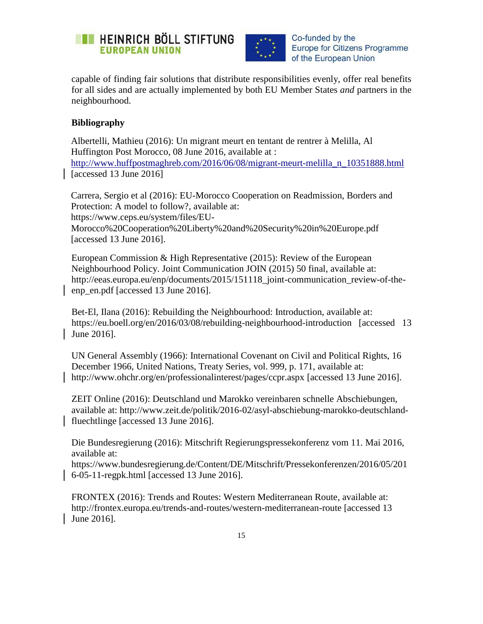



capable of finding fair solutions that distribute responsibilities evenly, offer real benefits for all sides and are actually implemented by both EU Member States *and* partners in the neighbourhood.

### **Bibliography**

Albertelli, Mathieu (2016): Un migrant meurt en tentant de rentrer à Melilla, Al Huffington Post Morocco, 08 June 2016, available at : [http://www.huffpostmaghreb.com/2016/06/08/migrant-meurt-melilla\\_n\\_10351888.html](http://www.huffpostmaghreb.com/2016/06/08/migrant-meurt-melilla_n_10351888.html) [accessed 13 June 2016]

Carrera, Sergio et al (2016): EU-Morocco Cooperation on Readmission, Borders and Protection: A model to follow?, available at: [https://www.ceps.eu/system/files/EU-](https://www.ceps.eu/system/files/EU-Morocco%20Cooperation%20Liberty%20and%20Security%20in%20Europe.pdf)[Morocco%20Cooperation%20Liberty%20and%20Security%20in%20Europe.pdf](https://www.ceps.eu/system/files/EU-Morocco%20Cooperation%20Liberty%20and%20Security%20in%20Europe.pdf) [accessed 13 June 2016].

European Commission & High Representative (2015): Review of the European Neighbourhood Policy. Joint Communication JOIN (2015) 50 final, available at: [http://eeas.europa.eu/enp/documents/2015/151118\\_joint-communication\\_review-of-the](http://eeas.europa.eu/enp/documents/2015/151118_joint-communication_review-of-the-enp_en.pdf)[enp\\_en.pdf](http://eeas.europa.eu/enp/documents/2015/151118_joint-communication_review-of-the-enp_en.pdf) [accessed 13 June 2016].

Bet-El, Ilana (2016): Rebuilding the Neighbourhood: Introduction, available at: <https://eu.boell.org/en/2016/03/08/rebuilding-neighbourhood-introduction> [accessed 13 June 2016].

UN General Assembly (1966): International Covenant on Civil and Political Rights, 16 December 1966, United Nations, Treaty Series, vol. 999, p. 171, available at: http://www.ohchr.org/en/professionalinterest/pages/ccpr.aspx [accessed 13 June 2016].

ZEIT Online (2016): Deutschland und Marokko vereinbaren schnelle Abschiebungen, available at: [http://www.zeit.de/politik/2016-02/asyl-abschiebung-marokko-deutschland](http://www.zeit.de/politik/2016-02/asyl-abschiebung-marokko-deutschland-fluechtlinge)[fluechtlinge](http://www.zeit.de/politik/2016-02/asyl-abschiebung-marokko-deutschland-fluechtlinge) [accessed 13 June 2016].

Die Bundesregierung (2016): Mitschrift Regierungspressekonferenz vom 11. Mai 2016, available at:

[https://www.bundesregierung.de/Content/DE/Mitschrift/Pressekonferenzen/2016/05/201](https://www.bundesregierung.de/Content/DE/Mitschrift/Pressekonferenzen/2016/05/2016-05-11-regpk.html) [6-05-11-regpk.html](https://www.bundesregierung.de/Content/DE/Mitschrift/Pressekonferenzen/2016/05/2016-05-11-regpk.html) [accessed 13 June 2016].

FRONTEX (2016): Trends and Routes: Western Mediterranean Route, available at: <http://frontex.europa.eu/trends-and-routes/western-mediterranean-route> [accessed 13 June 2016].